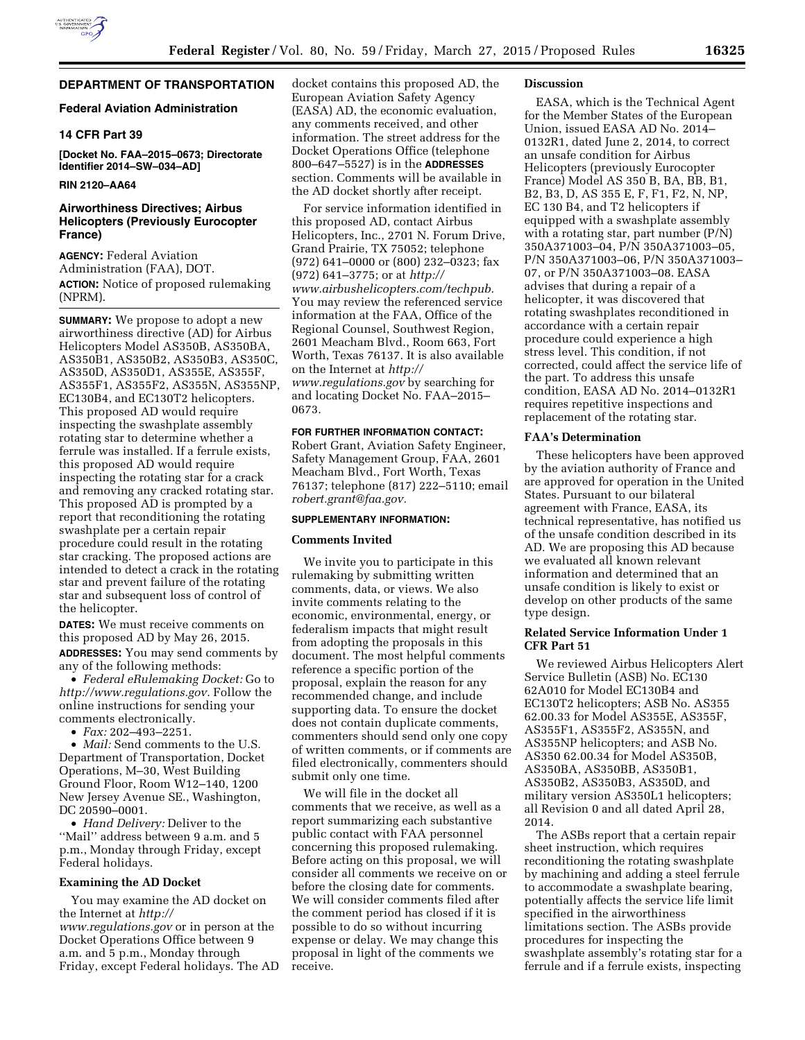# **DEPARTMENT OF TRANSPORTATION**

## **Federal Aviation Administration**

## **14 CFR Part 39**

**[Docket No. FAA–2015–0673; Directorate Identifier 2014–SW–034–AD]** 

## **RIN 2120–AA64**

## **Airworthiness Directives; Airbus Helicopters (Previously Eurocopter France)**

**AGENCY:** Federal Aviation Administration (FAA), DOT. **ACTION:** Notice of proposed rulemaking (NPRM).

**SUMMARY:** We propose to adopt a new airworthiness directive (AD) for Airbus Helicopters Model AS350B, AS350BA, AS350B1, AS350B2, AS350B3, AS350C, AS350D, AS350D1, AS355E, AS355F, AS355F1, AS355F2, AS355N, AS355NP, EC130B4, and EC130T2 helicopters. This proposed AD would require inspecting the swashplate assembly rotating star to determine whether a ferrule was installed. If a ferrule exists, this proposed AD would require inspecting the rotating star for a crack and removing any cracked rotating star. This proposed AD is prompted by a report that reconditioning the rotating swashplate per a certain repair procedure could result in the rotating star cracking. The proposed actions are intended to detect a crack in the rotating star and prevent failure of the rotating star and subsequent loss of control of the helicopter.

**DATES:** We must receive comments on this proposed AD by May 26, 2015. **ADDRESSES:** You may send comments by

any of the following methods:

• *Federal eRulemaking Docket:* Go to *[http://www.regulations.gov.](http://www.regulations.gov)* Follow the online instructions for sending your comments electronically.

• *Fax:* 202–493–2251.

• *Mail:* Send comments to the U.S. Department of Transportation, Docket Operations, M–30, West Building Ground Floor, Room W12–140, 1200 New Jersey Avenue SE., Washington, DC 20590–0001.

• *Hand Delivery:* Deliver to the ''Mail'' address between 9 a.m. and 5 p.m., Monday through Friday, except Federal holidays.

#### **Examining the AD Docket**

You may examine the AD docket on the Internet at *[http://](http://www.regulations.gov) [www.regulations.gov](http://www.regulations.gov)* or in person at the Docket Operations Office between 9 a.m. and 5 p.m., Monday through Friday, except Federal holidays. The AD

docket contains this proposed AD, the European Aviation Safety Agency (EASA) AD, the economic evaluation, any comments received, and other information. The street address for the Docket Operations Office (telephone 800–647–5527) is in the **ADDRESSES** section. Comments will be available in the AD docket shortly after receipt.

For service information identified in this proposed AD, contact Airbus Helicopters, Inc., 2701 N. Forum Drive, Grand Prairie, TX 75052; telephone (972) 641–0000 or (800) 232–0323; fax (972) 641–3775; or at *[http://](http://www.airbushelicopters.com/techpub) [www.airbushelicopters.com/techpub.](http://www.airbushelicopters.com/techpub)*  You may review the referenced service information at the FAA, Office of the Regional Counsel, Southwest Region, 2601 Meacham Blvd., Room 663, Fort Worth, Texas 76137. It is also available on the Internet at *[http://](http://www.regulations.gov) [www.regulations.gov](http://www.regulations.gov)* by searching for and locating Docket No. FAA–2015– 0673.

### **FOR FURTHER INFORMATION CONTACT:**

Robert Grant, Aviation Safety Engineer, Safety Management Group, FAA, 2601 Meacham Blvd., Fort Worth, Texas 76137; telephone (817) 222–5110; email *[robert.grant@faa.gov.](mailto:robert.grant@faa.gov)* 

#### **SUPPLEMENTARY INFORMATION:**

#### **Comments Invited**

We invite you to participate in this rulemaking by submitting written comments, data, or views. We also invite comments relating to the economic, environmental, energy, or federalism impacts that might result from adopting the proposals in this document. The most helpful comments reference a specific portion of the proposal, explain the reason for any recommended change, and include supporting data. To ensure the docket does not contain duplicate comments, commenters should send only one copy of written comments, or if comments are filed electronically, commenters should submit only one time.

We will file in the docket all comments that we receive, as well as a report summarizing each substantive public contact with FAA personnel concerning this proposed rulemaking. Before acting on this proposal, we will consider all comments we receive on or before the closing date for comments. We will consider comments filed after the comment period has closed if it is possible to do so without incurring expense or delay. We may change this proposal in light of the comments we receive.

### **Discussion**

EASA, which is the Technical Agent for the Member States of the European Union, issued EASA AD No. 2014– 0132R1, dated June 2, 2014, to correct an unsafe condition for Airbus Helicopters (previously Eurocopter France) Model AS 350 B, BA, BB, B1, B2, B3, D, AS 355 E, F, F1, F2, N, NP, EC 130 B4, and T2 helicopters if equipped with a swashplate assembly with a rotating star, part number (P/N) 350A371003–04, P/N 350A371003–05, P/N 350A371003–06, P/N 350A371003– 07, or P/N 350A371003–08. EASA advises that during a repair of a helicopter, it was discovered that rotating swashplates reconditioned in accordance with a certain repair procedure could experience a high stress level. This condition, if not corrected, could affect the service life of the part. To address this unsafe condition, EASA AD No. 2014–0132R1 requires repetitive inspections and replacement of the rotating star.

#### **FAA's Determination**

These helicopters have been approved by the aviation authority of France and are approved for operation in the United States. Pursuant to our bilateral agreement with France, EASA, its technical representative, has notified us of the unsafe condition described in its AD. We are proposing this AD because we evaluated all known relevant information and determined that an unsafe condition is likely to exist or develop on other products of the same type design.

### **Related Service Information Under 1 CFR Part 51**

We reviewed Airbus Helicopters Alert Service Bulletin (ASB) No. EC130 62A010 for Model EC130B4 and EC130T2 helicopters; ASB No. AS355 62.00.33 for Model AS355E, AS355F, AS355F1, AS355F2, AS355N, and AS355NP helicopters; and ASB No. AS350 62.00.34 for Model AS350B, AS350BA, AS350BB, AS350B1, AS350B2, AS350B3, AS350D, and military version AS350L1 helicopters; all Revision 0 and all dated April 28, 2014.

The ASBs report that a certain repair sheet instruction, which requires reconditioning the rotating swashplate by machining and adding a steel ferrule to accommodate a swashplate bearing, potentially affects the service life limit specified in the airworthiness limitations section. The ASBs provide procedures for inspecting the swashplate assembly's rotating star for a ferrule and if a ferrule exists, inspecting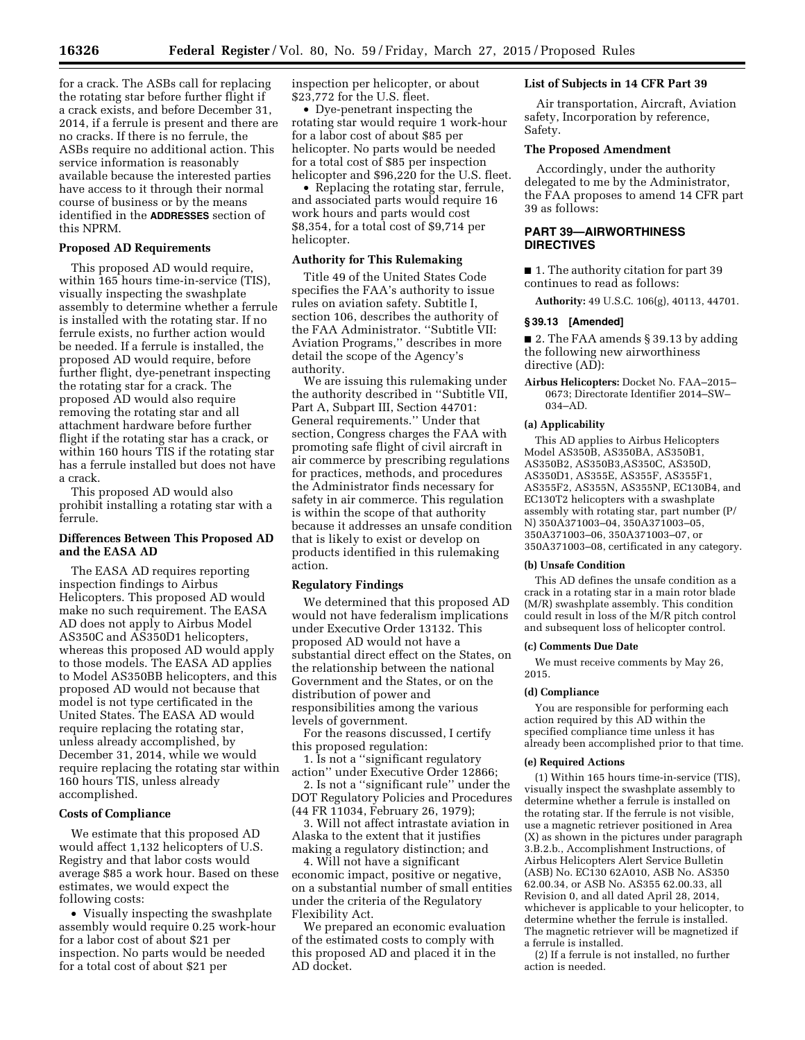for a crack. The ASBs call for replacing the rotating star before further flight if a crack exists, and before December 31, 2014, if a ferrule is present and there are no cracks. If there is no ferrule, the ASBs require no additional action. This service information is reasonably available because the interested parties have access to it through their normal course of business or by the means identified in the **ADDRESSES** section of this NPRM.

#### **Proposed AD Requirements**

This proposed AD would require, within 165 hours time-in-service (TIS), visually inspecting the swashplate assembly to determine whether a ferrule is installed with the rotating star. If no ferrule exists, no further action would be needed. If a ferrule is installed, the proposed AD would require, before further flight, dye-penetrant inspecting the rotating star for a crack. The proposed AD would also require removing the rotating star and all attachment hardware before further flight if the rotating star has a crack, or within 160 hours TIS if the rotating star has a ferrule installed but does not have a crack.

This proposed AD would also prohibit installing a rotating star with a ferrule.

### **Differences Between This Proposed AD and the EASA AD**

The EASA AD requires reporting inspection findings to Airbus Helicopters. This proposed AD would make no such requirement. The EASA AD does not apply to Airbus Model AS350C and AS350D1 helicopters, whereas this proposed AD would apply to those models. The EASA AD applies to Model AS350BB helicopters, and this proposed AD would not because that model is not type certificated in the United States. The EASA AD would require replacing the rotating star, unless already accomplished, by December 31, 2014, while we would require replacing the rotating star within 160 hours TIS, unless already accomplished.

## **Costs of Compliance**

We estimate that this proposed AD would affect 1,132 helicopters of U.S. Registry and that labor costs would average \$85 a work hour. Based on these estimates, we would expect the following costs:

• Visually inspecting the swashplate assembly would require 0.25 work-hour for a labor cost of about \$21 per inspection. No parts would be needed for a total cost of about \$21 per

inspection per helicopter, or about \$23,772 for the U.S. fleet.

• Dye-penetrant inspecting the rotating star would require 1 work-hour for a labor cost of about \$85 per helicopter. No parts would be needed for a total cost of \$85 per inspection helicopter and \$96,220 for the U.S. fleet.

• Replacing the rotating star, ferrule, and associated parts would require 16 work hours and parts would cost \$8,354, for a total cost of \$9,714 per helicopter.

### **Authority for This Rulemaking**

Title 49 of the United States Code specifies the FAA's authority to issue rules on aviation safety. Subtitle I, section 106, describes the authority of the FAA Administrator. ''Subtitle VII: Aviation Programs,'' describes in more detail the scope of the Agency's authority.

We are issuing this rulemaking under the authority described in ''Subtitle VII, Part A, Subpart III, Section 44701: General requirements.'' Under that section, Congress charges the FAA with promoting safe flight of civil aircraft in air commerce by prescribing regulations for practices, methods, and procedures the Administrator finds necessary for safety in air commerce. This regulation is within the scope of that authority because it addresses an unsafe condition that is likely to exist or develop on products identified in this rulemaking action.

### **Regulatory Findings**

We determined that this proposed AD would not have federalism implications under Executive Order 13132. This proposed AD would not have a substantial direct effect on the States, on the relationship between the national Government and the States, or on the distribution of power and responsibilities among the various levels of government.

For the reasons discussed, I certify this proposed regulation:

1. Is not a ''significant regulatory action'' under Executive Order 12866;

2. Is not a ''significant rule'' under the DOT Regulatory Policies and Procedures (44 FR 11034, February 26, 1979);

3. Will not affect intrastate aviation in Alaska to the extent that it justifies making a regulatory distinction; and

4. Will not have a significant economic impact, positive or negative, on a substantial number of small entities under the criteria of the Regulatory Flexibility Act.

We prepared an economic evaluation of the estimated costs to comply with this proposed AD and placed it in the AD docket.

### **List of Subjects in 14 CFR Part 39**

Air transportation, Aircraft, Aviation safety, Incorporation by reference, Safety.

## **The Proposed Amendment**

Accordingly, under the authority delegated to me by the Administrator, the FAA proposes to amend 14 CFR part 39 as follows:

## **PART 39—AIRWORTHINESS DIRECTIVES**

■ 1. The authority citation for part 39 continues to read as follows:

**Authority:** 49 U.S.C. 106(g), 40113, 44701.

## **§ 39.13 [Amended]**

■ 2. The FAA amends § 39.13 by adding the following new airworthiness directive (AD):

**Airbus Helicopters:** Docket No. FAA–2015– 0673; Directorate Identifier 2014–SW– 034–AD.

#### **(a) Applicability**

This AD applies to Airbus Helicopters Model AS350B, AS350BA, AS350B1, AS350B2, AS350B3,AS350C, AS350D, AS350D1, AS355E, AS355F, AS355F1, AS355F2, AS355N, AS355NP, EC130B4, and EC130T2 helicopters with a swashplate assembly with rotating star, part number (P/ N) 350A371003–04, 350A371003–05, 350A371003–06, 350A371003–07, or 350A371003–08, certificated in any category.

#### **(b) Unsafe Condition**

This AD defines the unsafe condition as a crack in a rotating star in a main rotor blade (M/R) swashplate assembly. This condition could result in loss of the M/R pitch control and subsequent loss of helicopter control.

#### **(c) Comments Due Date**

We must receive comments by May 26, 2015.

#### **(d) Compliance**

You are responsible for performing each action required by this AD within the specified compliance time unless it has already been accomplished prior to that time.

## **(e) Required Actions**

(1) Within 165 hours time-in-service (TIS), visually inspect the swashplate assembly to determine whether a ferrule is installed on the rotating star. If the ferrule is not visible, use a magnetic retriever positioned in Area (X) as shown in the pictures under paragraph 3.B.2.b., Accomplishment Instructions, of Airbus Helicopters Alert Service Bulletin (ASB) No. EC130 62A010, ASB No. AS350 62.00.34, or ASB No. AS355 62.00.33, all Revision 0, and all dated April 28, 2014, whichever is applicable to your helicopter, to determine whether the ferrule is installed. The magnetic retriever will be magnetized if a ferrule is installed.

(2) If a ferrule is not installed, no further action is needed.